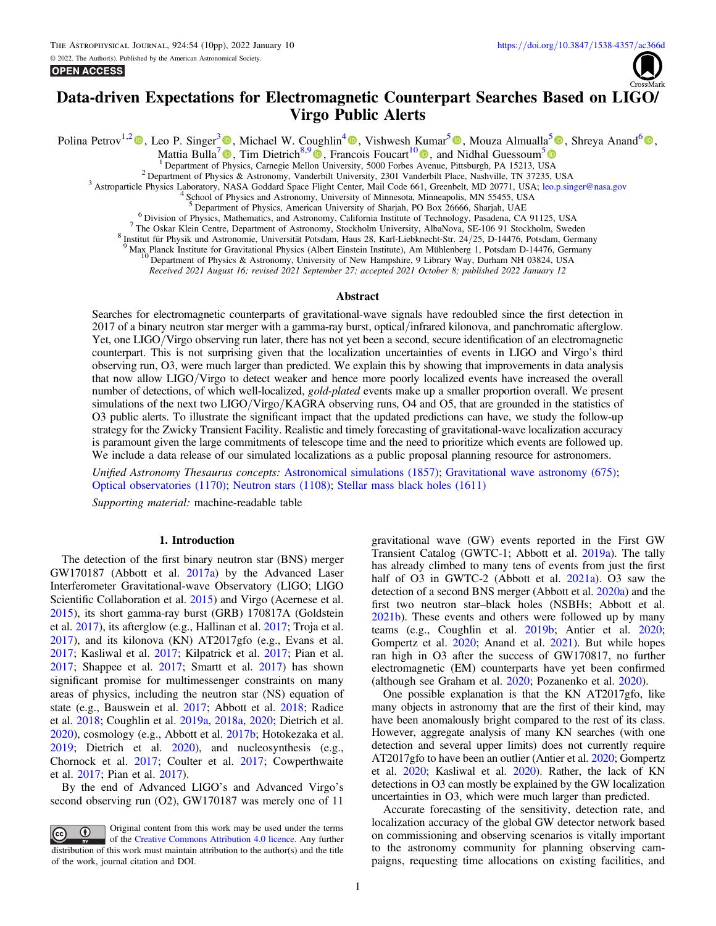**OPEN ACCESS** 



# Data-driven Expectations for Electromagnetic Counterpart Searches Based on LIGO/ Virgo Public Alerts

Polina Petrov<sup>1,[2](https://orcid.org/0000-0001-5681-4319)</sup>  $\bullet$ [,](https://orcid.org/0000-0003-3768-7515) Leo P. Singer<sup>[3](https://orcid.org/0000-0001-9898-5597)</sup>  $\bullet$ , Michael W. Coughlin<sup>[4](https://orcid.org/0000-0002-8262-2924)</sup>  $\bullet$ , Vishwesh Kumar<sup>[5](https://orcid.org/0000-0002-4694-7123)</sup>  $\bullet$ , Mouza Almualla<sup>5</sup>  $\bullet$ , Shreya Anand<sup>[6](https://orcid.org/0000-0003-3768-7515)</sup>  $\bullet$ ,

Mattia Bulla<sup>[7](https://orcid.org/0000-0002-8255-5127)</sup> , Tim Dietrich<sup>8,[9](https://orcid.org/0000-0003-2374-307X)</sup> [,](https://orcid.org/0000-0003-4617-4738) Francois Foucart<sup>1[0](https://orcid.org/0000-0003-4617-4738)</sup> , and Nidhal Guessoum<sup>[5](https://orcid.org/0000-0003-1585-8205)</sup> **D** Popartment of Physics, Carnegie Mellon University, 5000 Forbes Avenue, Pittsburgh, PA 15213, USA

<sup>2</sup> Department of Physics & Astronomy, Vanderbilt University, 2301 Vanderbilt Place, Nashville, TN 37235, USA<br><sup>3</sup> Astroparticle Physics Laboratory, NASA Goddard Space Flight Center, Mail Code 661, Greenbelt, MD 20771, USA;

<sup>6</sup> Division of Physics, Mathematics, and Astronomy, California Institute of Technology, Pasadena, CA 91125, USA<br><sup>7</sup> The Oskar Klein Centre, Department of Astronomy, Stockholm University, AlbaNova, SE-106 91 Stockholm, Sw

Received 2021 August 16; revised 2021 September 27; accepted 2021 October 8; published 2022 January 12

#### Abstract

Searches for electromagnetic counterparts of gravitational-wave signals have redoubled since the first detection in 2017 of a binary neutron star merger with a gamma-ray burst, optical/infrared kilonova, and panchromatic afterglow. Yet, one LIGO/Virgo observing run later, there has not yet been a second, secure identification of an electromagnetic counterpart. This is not surprising given that the localization uncertainties of events in LIGO and Virgo's third observing run, O3, were much larger than predicted. We explain this by showing that improvements in data analysis that now allow LIGO/Virgo to detect weaker and hence more poorly localized events have increased the overall number of detections, of which well-localized, *gold-plated* events make up a smaller proportion overall. We present simulations of the next two LIGO/Virgo/KAGRA observing runs, O4 and O5, that are grounded in the statistics of O3 public alerts. To illustrate the significant impact that the updated predictions can have, we study the follow-up strategy for the Zwicky Transient Facility. Realistic and timely forecasting of gravitational-wave localization accuracy is paramount given the large commitments of telescope time and the need to prioritize which events are followed up. We include a data release of our simulated localizations as a public proposal planning resource for astronomers.

Unified Astronomy Thesaurus concepts: [Astronomical simulations](http://astrothesaurus.org/uat/1857) (1857); [Gravitational wave astronomy](http://astrothesaurus.org/uat/675) (675); [Optical observatories](http://astrothesaurus.org/uat/1170) (1170); [Neutron stars](http://astrothesaurus.org/uat/1108) (1108); [Stellar mass black holes](http://astrothesaurus.org/uat/1611) (1611)

Supporting material: machine-readable table

## 1. Introduction

The detection of the first binary neutron star (BNS) merger GW170187 (Abbott et al. [2017a](#page-8-0)) by the Advanced Laser Interferometer Gravitational-wave Observatory (LIGO; LIGO Scientific Collaboration et al. [2015](#page-9-0)) and Virgo (Acernese et al. [2015](#page-8-0)), its short gamma-ray burst (GRB) 170817A (Goldstein et al. [2017](#page-9-0)), its afterglow (e.g., Hallinan et al. [2017;](#page-9-0) Troja et al. [2017](#page-9-0)), and its kilonova (KN) AT2017gfo (e.g., Evans et al. [2017;](#page-9-0) Kasliwal et al. [2017;](#page-9-0) Kilpatrick et al. [2017;](#page-9-0) Pian et al. [2017;](#page-9-0) Shappee et al. [2017;](#page-9-0) Smartt et al. [2017](#page-9-0)) has shown significant promise for multimessenger constraints on many areas of physics, including the neutron star (NS) equation of state (e.g., Bauswein et al. [2017;](#page-8-0) Abbott et al. [2018;](#page-8-0) Radice et al. [2018;](#page-9-0) Coughlin et al. [2019a](#page-8-0), [2018a](#page-8-0), [2020](#page-8-0); Dietrich et al. [2020](#page-9-0)), cosmology (e.g., Abbott et al. [2017b;](#page-8-0) Hotokezaka et al. [2019;](#page-9-0) Dietrich et al. [2020](#page-9-0)), and nucleosynthesis (e.g., Chornock et al. [2017;](#page-8-0) Coulter et al. [2017;](#page-9-0) Cowperthwaite et al. [2017](#page-9-0); Pian et al. [2017](#page-9-0)).

By the end of Advanced LIGO's and Advanced Virgo's second observing run (O2), GW170187 was merely one of 11

Original content from this work may be used under the terms  $\left(\mathrm{cc}\right)$ of the [Creative Commons Attribution 4.0 licence.](http://creativecommons.org/licenses/by/4.0/) Any further distribution of this work must maintain attribution to the author(s) and the title of the work, journal citation and DOI.

gravitational wave (GW) events reported in the First GW Transient Catalog (GWTC-1; Abbott et al. [2019a](#page-8-0)). The tally has already climbed to many tens of events from just the first half of O3 in GWTC-2 (Abbott et al. [2021a](#page-8-0)). O3 saw the detection of a second BNS merger (Abbott et al. [2020a](#page-8-0)) and the first two neutron star–black holes (NSBHs; Abbott et al. [2021b](#page-8-0)). These events and others were followed up by many teams (e.g., Coughlin et al. [2019b](#page-8-0); Antier et al. [2020](#page-8-0); Gompertz et al. [2020](#page-9-0); Anand et al. [2021](#page-8-0)). But while hopes ran high in O3 after the success of GW170817, no further electromagnetic (EM) counterparts have yet been confirmed (although see Graham et al. [2020](#page-9-0); Pozanenko et al. [2020](#page-9-0)).

One possible explanation is that the KN AT2017gfo, like many objects in astronomy that are the first of their kind, may have been anomalously bright compared to the rest of its class. However, aggregate analysis of many KN searches (with one detection and several upper limits) does not currently require AT2017gfo to have been an outlier (Antier et al. [2020](#page-8-0); Gompertz et al. [2020](#page-9-0); Kasliwal et al. [2020](#page-9-0)). Rather, the lack of KN detections in O3 can mostly be explained by the GW localization uncertainties in O3, which were much larger than predicted.

Accurate forecasting of the sensitivity, detection rate, and localization accuracy of the global GW detector network based on commissioning and observing scenarios is vitally important to the astronomy community for planning observing campaigns, requesting time allocations on existing facilities, and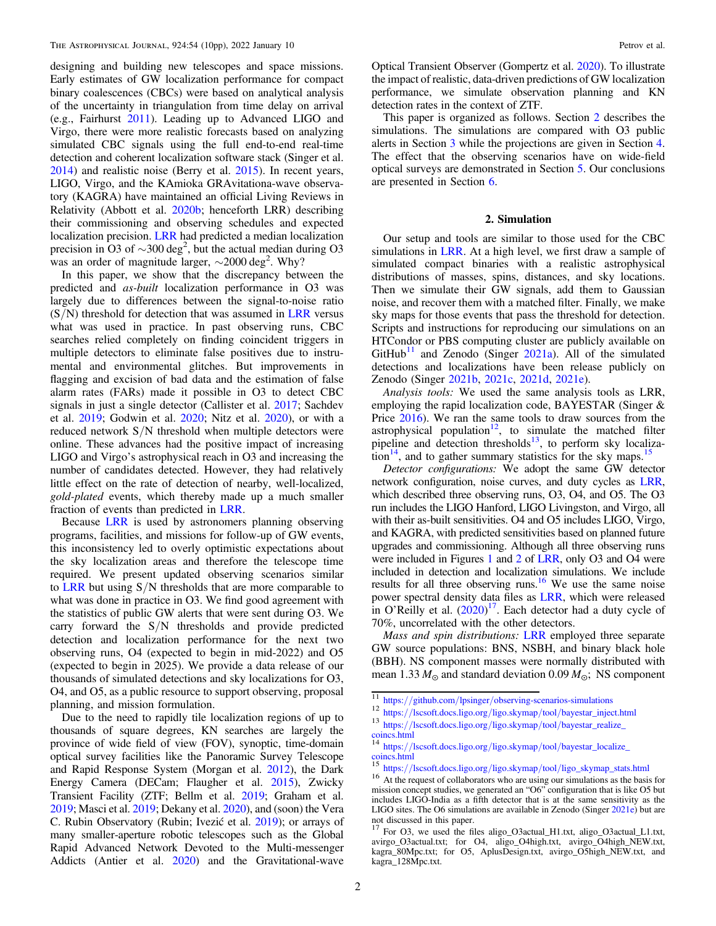designing and building new telescopes and space missions. Early estimates of GW localization performance for compact binary coalescences (CBCs) were based on analytical analysis of the uncertainty in triangulation from time delay on arrival (e.g., Fairhurst [2011](#page-9-0)). Leading up to Advanced LIGO and Virgo, there were more realistic forecasts based on analyzing simulated CBC signals using the full end-to-end real-time detection and coherent localization software stack (Singer et al. [2014](#page-9-0)) and realistic noise (Berry et al. [2015](#page-8-0)). In recent years, LIGO, Virgo, and the KAmioka GRAvitationa-wave observatory (KAGRA) have maintained an official Living Reviews in Relativity (Abbott et al. [2020b](#page-8-0); henceforth LRR) describing their commissioning and observing schedules and expected localization precision. [LRR](#page-8-0) had predicted a median localization precision in O3 of  $\sim$ 300 deg<sup>2</sup>, but the actual median during O3 was an order of magnitude larger,  $\sim$ 2000 deg<sup>2</sup>. Why?

In this paper, we show that the discrepancy between the predicted and as-built localization performance in O3 was largely due to differences between the signal-to-noise ratio  $(S/N)$  threshold for detection that was assumed in [LRR](#page-8-0) versus what was used in practice. In past observing runs, CBC searches relied completely on finding coincident triggers in multiple detectors to eliminate false positives due to instrumental and environmental glitches. But improvements in flagging and excision of bad data and the estimation of false alarm rates (FARs) made it possible in O3 to detect CBC signals in just a single detector (Callister et al. [2017](#page-8-0); Sachdev et al. [2019](#page-9-0); Godwin et al. [2020](#page-9-0); Nitz et al. [2020](#page-9-0)), or with a reduced network S/N threshold when multiple detectors were online. These advances had the positive impact of increasing LIGO and Virgo's astrophysical reach in O3 and increasing the number of candidates detected. However, they had relatively little effect on the rate of detection of nearby, well-localized, gold-plated events, which thereby made up a much smaller fraction of events than predicted in [LRR](#page-8-0).

Because [LRR](#page-8-0) is used by astronomers planning observing programs, facilities, and missions for follow-up of GW events, this inconsistency led to overly optimistic expectations about the sky localization areas and therefore the telescope time required. We present updated observing scenarios similar to [LRR](#page-8-0) but using S/N thresholds that are more comparable to what was done in practice in O3. We find good agreement with the statistics of public GW alerts that were sent during O3. We carry forward the S/N thresholds and provide predicted detection and localization performance for the next two observing runs, O4 (expected to begin in mid-2022) and O5 (expected to begin in 2025). We provide a data release of our thousands of simulated detections and sky localizations for O3, O4, and O5, as a public resource to support observing, proposal planning, and mission formulation.

Due to the need to rapidly tile localization regions of up to thousands of square degrees, KN searches are largely the province of wide field of view (FOV), synoptic, time-domain optical survey facilities like the Panoramic Survey Telescope and Rapid Response System (Morgan et al. [2012](#page-9-0)), the Dark Energy Camera (DECam; Flaugher et al. [2015](#page-9-0)), Zwicky Transient Facility (ZTF; Bellm et al. [2019](#page-8-0); Graham et al. [2019;](#page-9-0) Masci et al. [2019](#page-9-0); Dekany et al. [2020](#page-9-0)), and (soon) the Vera C. Rubin Observatory (Rubin; Ivezić et al. [2019](#page-9-0)); or arrays of many smaller-aperture robotic telescopes such as the Global Rapid Advanced Network Devoted to the Multi-messenger Addicts (Antier et al. [2020](#page-8-0)) and the Gravitational-wave

Optical Transient Observer (Gompertz et al. [2020](#page-9-0)). To illustrate the impact of realistic, data-driven predictions of GW localization performance, we simulate observation planning and KN detection rates in the context of ZTF.

This paper is organized as follows. Section 2 describes the simulations. The simulations are compared with O3 public alerts in Section [3](#page-3-0) while the projections are given in Section [4](#page-5-0). The effect that the observing scenarios have on wide-field optical surveys are demonstrated in Section [5.](#page-6-0) Our conclusions are presented in Section [6](#page-8-0).

### 2. Simulation

Our setup and tools are similar to those used for the CBC simulations in [LRR](#page-8-0). At a high level, we first draw a sample of simulated compact binaries with a realistic astrophysical distributions of masses, spins, distances, and sky locations. Then we simulate their GW signals, add them to Gaussian noise, and recover them with a matched filter. Finally, we make sky maps for those events that pass the threshold for detection. Scripts and instructions for reproducing our simulations on an HTCondor or PBS computing cluster are publicly available on  $G$ itHub<sup>11</sup> and Zenodo (Singer [2021a](#page-9-0)). All of the simulated detections and localizations have been release publicly on Zenodo (Singer [2021b,](#page-9-0) [2021c,](#page-9-0) [2021d,](#page-9-0) [2021e](#page-9-0)).

Analysis tools: We used the same analysis tools as LRR, employing the rapid localization code, BAYESTAR (Singer & Price  $2016$ ). We ran the same tools to draw sources from the astrophysical population<sup>12</sup>, to simulate the matched filter pipeline and detection thresholds $13$ , to perform sky localiza- $\frac{14}{15}$ , and to gather summary statistics for the sky maps.<sup>15</sup>

Detector configurations: We adopt the same GW detector network configuration, noise curves, and duty cycles as [LRR](#page-8-0), which described three observing runs, O3, O4, and O5. The O3 run includes the LIGO Hanford, LIGO Livingston, and Virgo, all with their as-built sensitivities. O4 and O5 includes LIGO, Virgo, and KAGRA, with predicted sensitivities based on planned future upgrades and commissioning. Although all three observing runs were included in Figures [1](#page-2-0) and [2](#page-3-0) of [LRR,](#page-8-0) only O3 and O4 were included in detection and localization simulations. We include results for all three observing runs.<sup>16</sup> We use the same noise power spectral density data files as [LRR](#page-8-0), which were released in O'Reilly et al.  $(2020)^{17}$  $(2020)^{17}$  $(2020)^{17}$ . Each detector had a duty cycle of 70%, uncorrelated with the other detectors.

Mass and spin distributions: [LRR](#page-8-0) employed three separate GW source populations: BNS, NSBH, and binary black hole (BBH). NS component masses were normally distributed with mean 1.33  $M_{\odot}$  and standard deviation 0.09  $M_{\odot}$ ; NS component

<sup>11</sup> https://github.com/lpsinger/[observing-scenarios-simulations](https://github.com/lpsinger/observing-scenarios-simulations) <sup>12</sup> https://lscsoft.docs.ligo.org/ligo.skymap/tool/[bayestar\\_inject.html](https://lscsoft.docs.ligo.org/ligo.skymap/tool/bayestar_inject.html) <sup>13</sup> https://[lscsoft.docs.ligo.org](https://lscsoft.docs.ligo.org/ligo.skymap/tool/bayestar_realize_coincs.html)/ligo.skymap/tool/bayestar\_realize\_

[coincs.html](https://lscsoft.docs.ligo.org/ligo.skymap/tool/bayestar_realize_coincs.html) <sup>14</sup> https://[lscsoft.docs.ligo.org](https://lscsoft.docs.ligo.org/ligo.skymap/tool/bayestar_localize_coincs.html)/ligo.skymap/tool/bayestar\_localize\_ [coincs.html](https://lscsoft.docs.ligo.org/ligo.skymap/tool/bayestar_localize_coincs.html)

<sup>15</sup> https://lscsoft.docs.ligo.org/ligo.skymap/tool/[ligo\\_skymap\\_stats.html](https://lscsoft.docs.ligo.org/ligo.skymap/tool/ligo_skymap_stats.html) <sup>16</sup> At the request of collaborators who are using our simulations as the basis for mission concept studies, we generated an "O6" configuration that is like O5 but includes LIGO-India as a fifth detector that is at the same sensitivity as the LIGO sites. The O6 simulations are available in Zenodo (Singer [2021e](#page-9-0)) but are not discussed in this paper.

<sup>&</sup>lt;sup>17</sup> For O3, we used the files aligo\_O3actual\_H1.txt, aligo\_O3actual\_L1.txt, avirgo\_O3actual.txt; for O4, aligo\_O4high.txt, avirgo\_O4high\_NEW.txt, kagra\_80Mpc.txt; for O5, AplusDesign.txt, avirgo\_O5high\_NEW.txt, and kagra\_128Mpc.txt.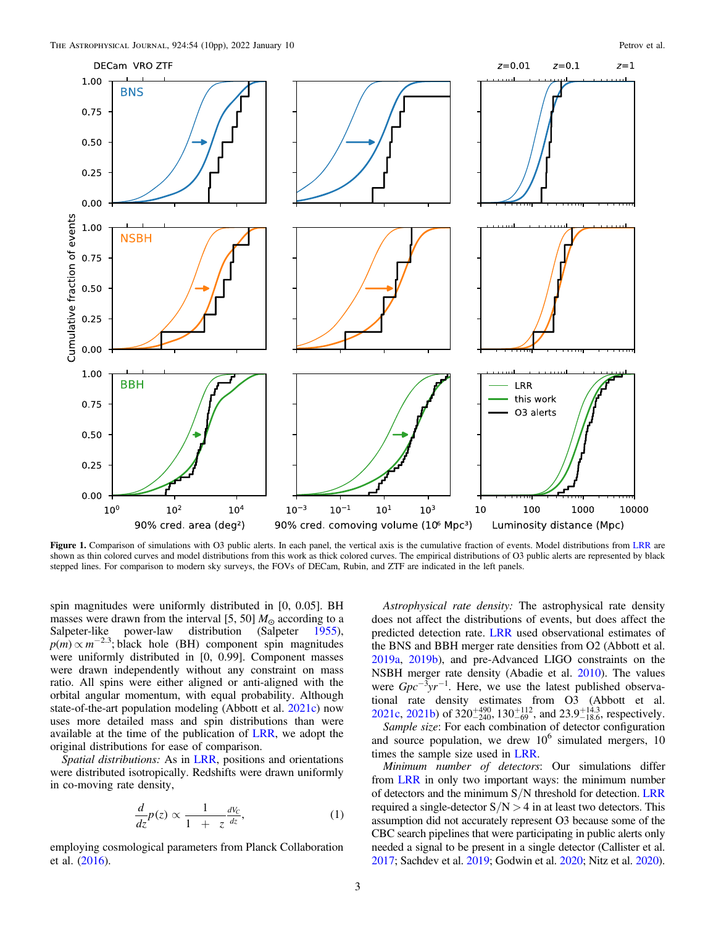<span id="page-2-0"></span>

Figure 1. Comparison of simulations with O3 public alerts. In each panel, the vertical axis is the cumulative fraction of events. Model distributions from [LRR](#page-8-0) are shown as thin colored curves and model distributions from this work as thick colored curves. The empirical distributions of O3 public alerts are represented by black stepped lines. For comparison to modern sky surveys, the FOVs of DECam, Rubin, and ZTF are indicated in the left panels.

spin magnitudes were uniformly distributed in [0, 0.05]. BH masses were drawn from the interval [5, 50]  $M_{\odot}$  according to a Salpeter-like power-law distribution (Salpeter [1955](#page-9-0)),  $p(m) \propto m^{-2.3}$ ; black hole (BH) component spin magnitudes were uniformly distributed in [0, 0.99]. Component masses were drawn independently without any constraint on mass ratio. All spins were either aligned or anti-aligned with the orbital angular momentum, with equal probability. Although state-of-the-art population modeling (Abbott et al. [2021c](#page-8-0)) now uses more detailed mass and spin distributions than were available at the time of the publication of [LRR](#page-8-0), we adopt the original distributions for ease of comparison.

Spatial distributions: As in [LRR](#page-8-0), positions and orientations were distributed isotropically. Redshifts were drawn uniformly in co-moving rate density,

$$
\frac{d}{dz}p(z) \propto \frac{1}{1 + z} \frac{dV_c}{dz},\tag{1}
$$

employing cosmological parameters from Planck Collaboration et al. ([2016](#page-9-0)).

Astrophysical rate density: The astrophysical rate density does not affect the distributions of events, but does affect the predicted detection rate. [LRR](#page-8-0) used observational estimates of the BNS and BBH merger rate densities from O2 (Abbott et al. [2019a](#page-8-0), [2019b](#page-8-0)), and pre-Advanced LIGO constraints on the NSBH merger rate density (Abadie et al. [2010](#page-8-0)). The values were  $Gpc^{-3}yr^{-1}$ . Here, we use the latest published observational rate density estimates from O3 (Abbott et al. [2021c](#page-8-0), [2021b](#page-8-0)) of  $320^{+490}_{-240}$ ,  $130^{+112}_{-69}$ , and  $23.9^{+14.3}_{-18.6}$ , respectively.

Sample size: For each combination of detector configuration and source population, we drew  $10^6$  simulated mergers, 10 times the sample size used in [LRR](#page-8-0).

Minimum number of detectors: Our simulations differ from [LRR](#page-8-0) in only two important ways: the minimum number of detectors and the minimum  $S/N$  threshold for detection. [LRR](#page-8-0) required a single-detector  $S/N > 4$  in at least two detectors. This assumption did not accurately represent O3 because some of the CBC search pipelines that were participating in public alerts only needed a signal to be present in a single detector (Callister et al. [2017](#page-8-0); Sachdev et al. [2019;](#page-9-0) Godwin et al. [2020](#page-9-0); Nitz et al. [2020](#page-9-0)).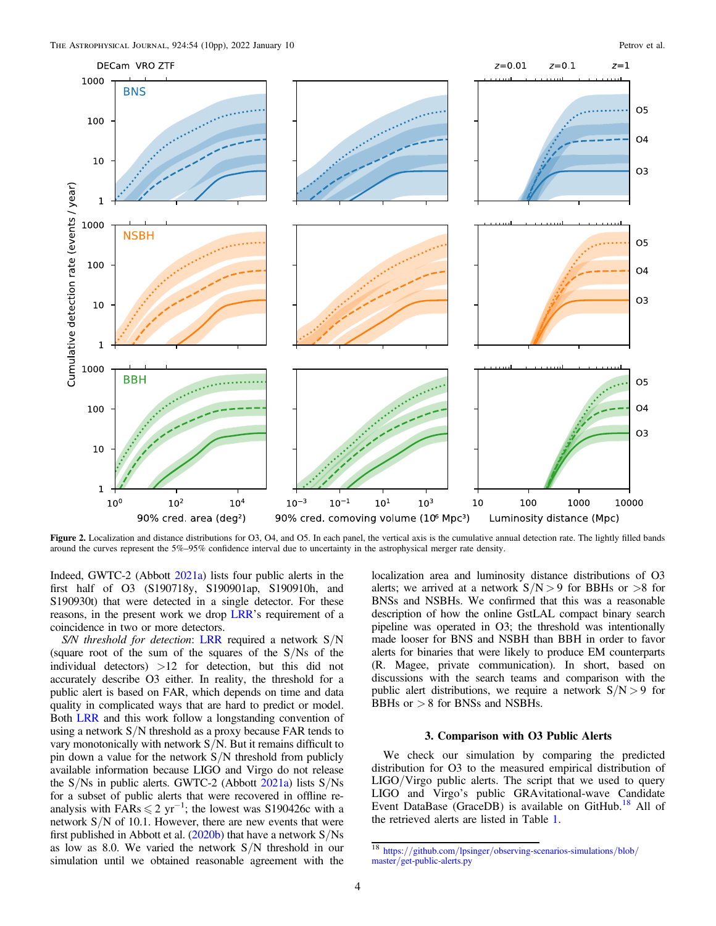<span id="page-3-0"></span>

Figure 2. Localization and distance distributions for O3, O4, and O5. In each panel, the vertical axis is the cumulative annual detection rate. The lightly filled bands around the curves represent the 5%–95% confidence interval due to uncertainty in the astrophysical merger rate density.

Indeed, GWTC-2 (Abbott [2021a](#page-8-0)) lists four public alerts in the first half of O3 (S190718y, S190901ap, S190910h, and S190930t) that were detected in a single detector. For these reasons, in the present work we drop [LRR](#page-8-0)'s requirement of a coincidence in two or more detectors.

S/N threshold for detection: [LRR](#page-8-0) required a network  $S/N$ (square root of the sum of the squares of the S/Ns of the individual detectors)  $>12$  for detection, but this did not accurately describe O3 either. In reality, the threshold for a public alert is based on FAR, which depends on time and data quality in complicated ways that are hard to predict or model. Both [LRR](#page-8-0) and this work follow a longstanding convention of using a network S/N threshold as a proxy because FAR tends to vary monotonically with network  $S/N$ . But it remains difficult to pin down a value for the network  $S/N$  threshold from publicly available information because LIGO and Virgo do not release the  $S/Ns$  in public alerts. GWTC-2 (Abbott  $2021a$ ) lists  $S/Ns$ for a subset of public alerts that were recovered in offline reanalysis with  $FARs \leq 2$  yr<sup>-1</sup>; the lowest was S190426c with a network S/N of 10.1. However, there are new events that were first published in Abbott et al.  $(2020b)$  $(2020b)$  $(2020b)$  that have a network  $S/Ns$ as low as 8.0. We varied the network  $S/N$  threshold in our simulation until we obtained reasonable agreement with the

localization area and luminosity distance distributions of O3 alerts; we arrived at a network  $S/N > 9$  for BBHs or  $>8$  for BNSs and NSBHs. We confirmed that this was a reasonable description of how the online GstLAL compact binary search pipeline was operated in O3; the threshold was intentionally made looser for BNS and NSBH than BBH in order to favor alerts for binaries that were likely to produce EM counterparts (R. Magee, private communication). In short, based on discussions with the search teams and comparison with the public alert distributions, we require a network  $S/N > 9$  for BBHs or  $> 8$  for BNSs and NSBHs.

## 3. Comparison with O3 Public Alerts

We check our simulation by comparing the predicted distribution for O3 to the measured empirical distribution of LIGO/Virgo public alerts. The script that we used to query LIGO and Virgo's public GRAvitational-wave Candidate Event DataBase (GraceDB) is available on GitHub.<sup>18</sup> All of the retrieved alerts are listed in Table [1.](#page-4-0)

<sup>18</sup> https://github.com/lpsinger/[observing-scenarios-simulations](https://github.com/lpsinger/observing-scenarios-simulations/blob/master/get-public-alerts.py)/blob/ master/[get-public-alerts.py](https://github.com/lpsinger/observing-scenarios-simulations/blob/master/get-public-alerts.py)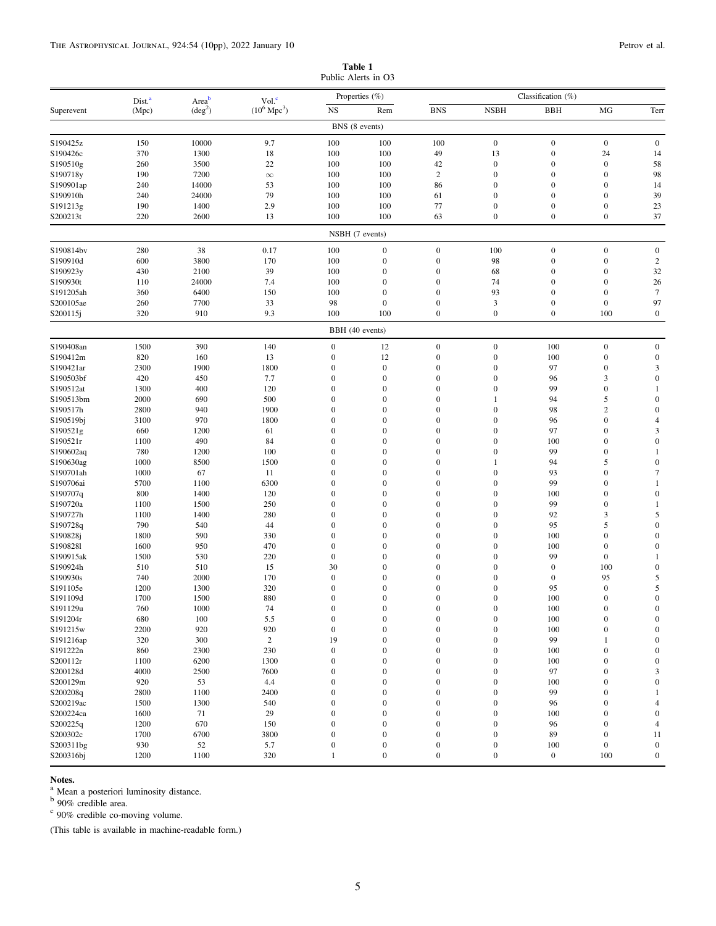| Table 1             |  |  |  |  |  |
|---------------------|--|--|--|--|--|
| Public Alerts in O3 |  |  |  |  |  |

<span id="page-4-0"></span>

|                        | Dist. <sup>a</sup> | Areab            | Vol. <sup>c</sup>      |                               | Properties $(\%)$                |                                  |                       | Classification (%) |                   |                       |
|------------------------|--------------------|------------------|------------------------|-------------------------------|----------------------------------|----------------------------------|-----------------------|--------------------|-------------------|-----------------------|
| Superevent             | (Mpc)              | $(\text{deg}^2)$ | $(10^6 \text{ Mpc}^3)$ | $_{\rm NS}$<br>BNS (8 events) | Rem                              | <b>BNS</b>                       | <b>NSBH</b>           | <b>BBH</b>         | MG                | Terr                  |
|                        |                    |                  |                        |                               |                                  |                                  |                       |                    |                   |                       |
| S190425z               | 150                | 10000            | 9.7                    | 100                           | 100                              | 100                              | $\boldsymbol{0}$      | $\mathbf{0}$       | $\boldsymbol{0}$  | $\mathbf{0}$          |
| S190426c               | 370                | 1300             | 18                     | 100                           | 100                              | 49                               | 13                    | $\overline{0}$     | 24                | 14                    |
| S190510g               | 260                | 3500             | 22                     | 100                           | 100                              | 42                               | $\mathbf{0}$          | $\overline{0}$     | $\mathbf{0}$      | 58                    |
| S190718y               | 190                | 7200             | $\infty$               | 100                           | 100                              | $\mathbf{2}$                     | $\Omega$              | $\overline{0}$     | $\overline{0}$    | 98                    |
| S190901ap              | 240                | 14000            | 53                     | 100                           | 100                              | 86                               | $\Omega$              | $\overline{0}$     | $\mathbf{0}$      | 14                    |
| S190910h               | 240                | 24000            | 79                     | 100                           | 100                              | 61                               | $\Omega$              | $\overline{0}$     | $\overline{0}$    | 39                    |
| S191213g               | 190                | 1400             | 2.9                    | 100                           | 100                              | 77                               | $\overline{0}$        | $\overline{0}$     | $\boldsymbol{0}$  | 23                    |
| S200213t               | 220                | 2600             | 13                     | 100                           | 100                              | 63                               | $\boldsymbol{0}$      | $\mathbf{0}$       | $\mathbf{0}$      | 37                    |
|                        |                    |                  |                        | NSBH (7 events)               |                                  |                                  |                       |                    |                   |                       |
| S190814bv              | 280                | 38               | 0.17                   | 100                           | $\boldsymbol{0}$                 | $\boldsymbol{0}$                 | 100                   | $\boldsymbol{0}$   | $\boldsymbol{0}$  | $\mathbf{0}$          |
| S190910d               | 600                | 3800             | 170                    | 100                           | $\boldsymbol{0}$                 | $\mathbf{0}$                     | 98                    | $\overline{0}$     | $\mathbf{0}$      | $\sqrt{2}$            |
| S190923y               | 430                | 2100             | 39                     | 100                           | $\mathbf{0}$                     | $\mathbf{0}$                     | 68                    | $\boldsymbol{0}$   | $\mathbf{0}$      | 32                    |
| S190930t               | 110                | 24000            | 7.4                    | 100                           | $\overline{0}$                   | $\overline{0}$                   | 74                    | $\boldsymbol{0}$   | $\mathbf{0}$      | 26                    |
| S191205ah              | 360                | 6400             | 150                    | 100                           | $\overline{0}$                   | $\overline{0}$                   | 93                    | $\overline{0}$     | $\overline{0}$    | $\tau$                |
| S200105ae              | 260                | 7700             | 33                     | 98                            | $\overline{0}$                   | $\mathbf{0}$                     | 3                     | $\boldsymbol{0}$   | $\boldsymbol{0}$  | 97                    |
| S200115i               | 320                | 910              | 9.3                    | 100                           | 100                              | $\mathbf{0}$                     | $\boldsymbol{0}$      | $\boldsymbol{0}$   | 100               | $\mathbf{0}$          |
|                        |                    |                  |                        | BBH (40 events)               |                                  |                                  |                       |                    |                   |                       |
| S190408an              | 1500               | 390              | 140                    | $\boldsymbol{0}$              | 12                               | $\boldsymbol{0}$                 | $\boldsymbol{0}$      | 100                | $\boldsymbol{0}$  | $\mathbf{0}$          |
| S190412m               | 820                | 160              | 13                     | $\mathbf{0}$                  | 12                               | $\mathbf{0}$                     | $\boldsymbol{0}$      | 100                | $\mathbf{0}$      | $\mathbf{0}$          |
| S190421ar              | 2300               | 1900             | 1800                   | $\mathbf{0}$                  | $\boldsymbol{0}$                 | $\mathbf{0}$                     | $\Omega$              | 97                 | $\mathbf{0}$      | 3                     |
| S190503bf              | 420                | 450              | 7.7                    |                               | $\overline{0}$                   | $\overline{0}$                   | $\Omega$              | 96                 | 3                 | $\mathbf{0}$          |
| S190512at              | 1300               | 400              | 120                    | $\Omega$                      | $\overline{0}$                   | $\overline{0}$                   | $\Omega$              | 99                 | $\mathbf{0}$      | 1                     |
| S190513bm              | 2000               | 690              | 500                    |                               | $\overline{0}$                   | $\overline{0}$                   | 1                     | 94                 | 5                 | $\boldsymbol{0}$      |
| S190517h               | 2800               | 940              | 1900                   |                               | $\mathbf{0}$                     | $\overline{0}$                   | $\Omega$              | 98                 | $\overline{c}$    | $\mathbf{0}$          |
| S190519bj              | 3100               | 970              | 1800                   |                               | $\overline{0}$                   | $\overline{0}$                   | $\Omega$              | 96                 | $\mathbf{0}$      | $\overline{4}$        |
| S190521g               | 660                | 1200             | 61                     |                               | $\overline{0}$                   | $\overline{0}$                   | $\Omega$              | 97                 | $\mathbf{0}$      | 3                     |
| S190521r               | 1100               | 490              | 84                     |                               | $\overline{0}$                   | $\overline{0}$                   | $\Omega$              | 100                | $\mathbf{0}$      | $\mathbf{0}$          |
| S190602aq              | 780                | 1200             | 100                    |                               | $\overline{0}$<br>$\overline{0}$ | $\overline{0}$<br>$\overline{0}$ | $\Omega$              | 99<br>94           | $\mathbf{0}$      | 1<br>$\boldsymbol{0}$ |
| S190630ag<br>S190701ah | 1000<br>1000       | 8500<br>67       | 1500<br>11             | 0                             | $\overline{0}$                   | $\overline{0}$                   | 1<br>$\boldsymbol{0}$ | 93                 | 5<br>$\mathbf{0}$ | $\tau$                |
| S190706ai              | 5700               | 1100             | 6300                   | $\Omega$                      | $\overline{0}$                   | $\boldsymbol{0}$                 | $\boldsymbol{0}$      | 99                 | $\mathbf{0}$      | $\mathbf{1}$          |
| S190707q               | 800                | 1400             | 120                    | $\Omega$                      | $\mathbf{0}$                     | $\boldsymbol{0}$                 | $\boldsymbol{0}$      | 100                | $\mathbf{0}$      | $\mathbf{0}$          |
| S190720a               | 1100               | 1500             | 250                    | $\Omega$                      | $\overline{0}$                   | $\boldsymbol{0}$                 | $\boldsymbol{0}$      | 99                 | $\mathbf{0}$      | -1                    |
| S190727h               | 1100               | 1400             | 280                    | $\mathbf{0}$                  | $\overline{0}$                   | $\boldsymbol{0}$                 | $\mathbf{0}$          | 92                 | 3                 | 5                     |
| S190728q               | 790                | 540              | 44                     | $\Omega$                      | $\overline{0}$                   | $\boldsymbol{0}$                 | $\boldsymbol{0}$      | 95                 | 5                 | $\mathbf{0}$          |
| S190828j               | 1800               | 590              | 330                    | 0                             | $\overline{0}$                   | $\boldsymbol{0}$                 | $\boldsymbol{0}$      | 100                | $\boldsymbol{0}$  | $\mathbf{0}$          |
| S1908281               | 1600               | 950              | 470                    | $\mathbf{0}$                  | $\overline{0}$                   | $\boldsymbol{0}$                 | $\boldsymbol{0}$      | 100                | $\mathbf{0}$      | $\mathbf{0}$          |
| S190915ak              | 1500               | 530              | 220                    | $\mathbf{0}$                  | $\overline{0}$                   | $\overline{0}$                   | $\overline{0}$        | 99                 | $\boldsymbol{0}$  | 1                     |
| S190924h               | 510                | 510              | 15                     | 30                            | $\overline{0}$                   | $\theta$                         | $\boldsymbol{0}$      | $\boldsymbol{0}$   | 100               | $\mathbf{0}$          |
| S190930s               | 740                | 2000             | 170                    | $\overline{0}$                | $\mathbf{0}$                     | $\theta$                         | $\Omega$              | $\boldsymbol{0}$   | 95                | 5                     |
| S191105e               | 1200               | 1300             | 320                    | $\Omega$                      | $\mathbf{0}$                     | $\theta$                         | 0                     | 95                 | $\boldsymbol{0}$  | 5                     |
| S191109d               | 1700               | 1500             | 880                    | $\mathbf{0}$                  | $\overline{0}$                   | $\Omega$                         | $\mathbf{0}$          | 100                | $\boldsymbol{0}$  | $\boldsymbol{0}$      |
| S191129u               | 760                | 1000             | 74                     | $\boldsymbol{0}$              | $\boldsymbol{0}$                 | $\boldsymbol{0}$                 | $\boldsymbol{0}$      | 100                | $\boldsymbol{0}$  | $\mathbf{0}$          |
| S191204r               | 680                | 100              | 5.5                    | $\boldsymbol{0}$              | $\boldsymbol{0}$                 | $\boldsymbol{0}$                 | $\boldsymbol{0}$      | 100                | $\boldsymbol{0}$  | $\boldsymbol{0}$      |
| S191215w               | 2200               | 920              | 920                    | $\boldsymbol{0}$              | $\boldsymbol{0}$                 | $\boldsymbol{0}$                 | $\boldsymbol{0}$      | 100                | $\boldsymbol{0}$  | $\boldsymbol{0}$      |
| S191216ap              | 320                | 300              | $\overline{c}$         | 19                            | $\boldsymbol{0}$                 | $\boldsymbol{0}$                 | $\boldsymbol{0}$      | 99                 | 1                 | $\boldsymbol{0}$      |
| S191222n               | 860                | 2300             | 230                    | $\boldsymbol{0}$              | $\boldsymbol{0}$                 | $\boldsymbol{0}$                 | $\boldsymbol{0}$      | 100                | $\boldsymbol{0}$  | $\boldsymbol{0}$      |
| S200112r               | 1100               | 6200             | 1300                   | $\boldsymbol{0}$              | $\boldsymbol{0}$                 | $\boldsymbol{0}$                 | $\boldsymbol{0}$      | 100                | $\boldsymbol{0}$  | $\boldsymbol{0}$      |
| S200128d               | 4000               | 2500             | 7600                   | $\boldsymbol{0}$              | $\boldsymbol{0}$                 | $\boldsymbol{0}$                 | $\boldsymbol{0}$      | 97                 | $\boldsymbol{0}$  | 3                     |
| S200129m               | 920                | 53               | 4.4                    | $\boldsymbol{0}$              | $\mathbf{0}$                     | $\boldsymbol{0}$                 | $\boldsymbol{0}$      | 100                | $\boldsymbol{0}$  | $\boldsymbol{0}$      |
| S200208q               | 2800               | 1100             | 2400                   | $\boldsymbol{0}$              | $\boldsymbol{0}$                 | $\boldsymbol{0}$                 | $\boldsymbol{0}$      | 99                 | $\boldsymbol{0}$  | 1                     |
| S200219ac              | 1500               | 1300             | 540                    | $\mathbf{0}$                  | $\mathbf{0}$                     | $\boldsymbol{0}$                 | $\boldsymbol{0}$      | 96                 | $\boldsymbol{0}$  | 4                     |
| S200224ca              | 1600               | 71               | 29                     | $\boldsymbol{0}$              | $\mathbf{0}$                     | $\boldsymbol{0}$                 | $\boldsymbol{0}$      | 100                | $\boldsymbol{0}$  | $\boldsymbol{0}$      |
| S200225q               | 1200               | 670              | 150                    | $\mathbf{0}$                  | $\mathbf{0}$                     | $\boldsymbol{0}$                 | $\boldsymbol{0}$      | 96                 | $\boldsymbol{0}$  | $\overline{4}$        |
| S200302c               | 1700               | 6700             | 3800                   | $\boldsymbol{0}$              | $\boldsymbol{0}$                 | $\boldsymbol{0}$                 | $\boldsymbol{0}$      | 89                 | $\boldsymbol{0}$  | 11                    |
| S200311bg              | 930                | 52               | 5.7                    | $\boldsymbol{0}$              | $\boldsymbol{0}$                 | $\boldsymbol{0}$                 | $\boldsymbol{0}$      | 100                | $\boldsymbol{0}$  | $\boldsymbol{0}$      |
| S200316bj              | 1200               | 1100             | 320                    | 1                             | $\mathbf{0}$                     | $\boldsymbol{0}$                 | $\boldsymbol{0}$      | $\boldsymbol{0}$   | 100               | $\boldsymbol{0}$      |

Notes.<br><sup>a</sup> Mean a posteriori luminosity distance.

<sup>b</sup> 90% credible area.

c 90% credible co-moving volume.

(This table is available in machine-readable form.)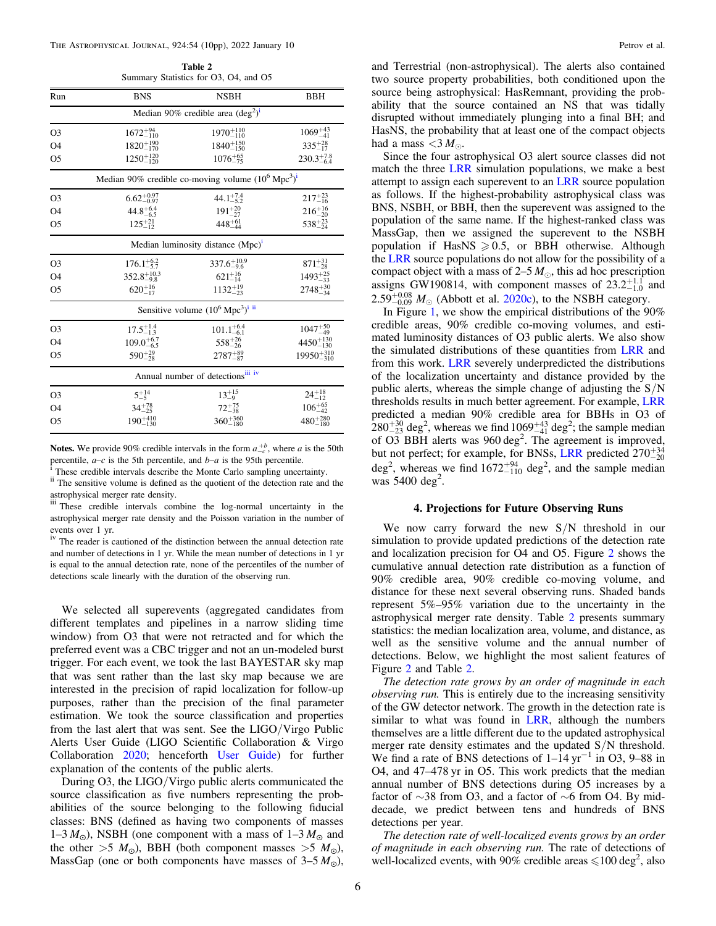<span id="page-5-0"></span>

|     | Table 2<br>Summary Statistics for O3, O4, and O5 |                                             |            |
|-----|--------------------------------------------------|---------------------------------------------|------------|
| Run | <b>BNS</b>                                       | <b>NSBH</b>                                 | <b>BBH</b> |
|     |                                                  | Median 90% credible area $(\text{deg}^2)^1$ |            |

|                | $\frac{1}{2}$                                                 |                                               |                       |  |  |  |
|----------------|---------------------------------------------------------------|-----------------------------------------------|-----------------------|--|--|--|
| O <sub>3</sub> | $1672_{-110}^{+94}$                                           | $1970^{+110}_{-110}$                          | $1069^{+43}_{-41}$    |  |  |  |
| O4             | $1820^{+190}_{-170}$                                          | $1840^{+150}_{-150}$                          | $335^{+28}_{-17}$     |  |  |  |
| O <sub>5</sub> | $1250^{+120}_{-120}$                                          | $1076^{+65}_{-75}$                            | $230.3^{+7.8}_{-6.4}$ |  |  |  |
|                | Median 90% credible co-moving volume $(10^6 \text{ Mpc}^3)^1$ |                                               |                       |  |  |  |
| O <sub>3</sub> | $6.62_{-0.97}^{+0.97}$                                        | $44.1^{+7.4}_{-5.2}$                          | $217^{+23}_{-16}$     |  |  |  |
| O4             | $44.8^{+6.4}_{-6.5}$                                          | $191^{+20}_{-27}$                             | $216^{+16}_{-20}$     |  |  |  |
| O <sub>5</sub> | $125^{+21}_{-12}$                                             | $448^{+61}_{-44}$                             | $538^{+23}_{-24}$     |  |  |  |
|                |                                                               | Median luminosity distance $(Mpc)^{1}$        |                       |  |  |  |
| O <sub>3</sub> | $176.1^{+6.2}_{-5.7}$                                         | $337.6^{+10.9}_{-9.6}$                        | $871^{+31}_{-28}$     |  |  |  |
| O4             | $352.8^{+10.3}_{-9.8}$                                        | $621^{+16}_{-14}$                             | $1493_{-33}^{+25}$    |  |  |  |
| O <sub>5</sub> | $620^{+16}_{-17}$                                             | $1132^{+19}_{-23}$                            | $2748^{+30}_{-34}$    |  |  |  |
|                |                                                               | Sensitive volume $(10^6 \text{ Mpc}^3)^i$ ii  |                       |  |  |  |
| O <sub>3</sub> | $17.5^{+1.4}_{-1.3}$                                          | $101.1^{+6.4}_{-6.1}$                         | $1047^{+50}_{-49}$    |  |  |  |
| O4             | $109.0^{+6.7}_{-6.5}$                                         | $558^{+26}_{-26}$                             | $4450^{+130}_{-130}$  |  |  |  |
| O <sub>5</sub> | $590^{+29}_{-28}$                                             | $2787^{+89}_{-87}$                            | $19950^{+310}_{-310}$ |  |  |  |
|                |                                                               | Annual number of detections <sup>iii iv</sup> |                       |  |  |  |
| O <sub>3</sub> | $5^{+14}_{-5}$                                                | $13^{+15}_{-9}$                               | $24^{+18}_{-12}$      |  |  |  |
| O4             | $34^{+78}_{-25}$                                              | $72^{+75}_{-38}$                              | $106^{+65}_{-42}$     |  |  |  |
| O <sub>5</sub> | $190^{+410}_{-130}$                                           | $360^{+360}_{-180}$                           | $480^{+280}_{-180}$   |  |  |  |

**Notes.** We provide 90% credible intervals in the form  $a_{-c}^{+b}$ , where a is the 50th percentile,  $a-c$  is the 5th percentile, and  $b-a$  is the 95th percentile.

These credible intervals describe the Monte Carlo sampling uncertainty.

<sup>ii</sup> The sensitive volume is defined as the quotient of the detection rate and the astrophysical merger rate density.

iii These credible intervals combine the log-normal uncertainty in the astrophysical merger rate density and the Poisson variation in the number of events over 1 yr.

<sup>iv</sup> The reader is cautioned of the distinction between the annual detection rate and number of detections in 1 yr. While the mean number of detections in 1 yr is equal to the annual detection rate, none of the percentiles of the number of detections scale linearly with the duration of the observing run.

We selected all superevents (aggregated candidates from different templates and pipelines in a narrow sliding time window) from O3 that were not retracted and for which the preferred event was a CBC trigger and not an un-modeled burst trigger. For each event, we took the last BAYESTAR sky map that was sent rather than the last sky map because we are interested in the precision of rapid localization for follow-up purposes, rather than the precision of the final parameter estimation. We took the source classification and properties from the last alert that was sent. See the LIGO/Virgo Public Alerts User Guide (LIGO Scientific Collaboration & Virgo Collaboration [2020](#page-9-0); henceforth [User Guide](#page-9-0)) for further explanation of the contents of the public alerts.

During O3, the LIGO/Virgo public alerts communicated the source classification as five numbers representing the probabilities of the source belonging to the following fiducial classes: BNS (defined as having two components of masses 1–3  $M_{\odot}$ ), NSBH (one component with a mass of 1–3  $M_{\odot}$  and the other >5  $M_{\odot}$ ), BBH (both component masses >5  $M_{\odot}$ ), MassGap (one or both components have masses of  $3-5 M_{\odot}$ ),

and Terrestrial (non-astrophysical). The alerts also contained two source property probabilities, both conditioned upon the source being astrophysical: HasRemnant, providing the probability that the source contained an NS that was tidally disrupted without immediately plunging into a final BH; and HasNS, the probability that at least one of the compact objects had a mass  $<$ 3  $M_{\odot}$ .

Since the four astrophysical O3 alert source classes did not match the three [LRR](#page-8-0) simulation populations, we make a best attempt to assign each superevent to an [LRR](#page-8-0) source population as follows. If the highest-probability astrophysical class was BNS, NSBH, or BBH, then the superevent was assigned to the population of the same name. If the highest-ranked class was MassGap, then we assigned the superevent to the NSBH population if HasNS  $\geq 0.5$ , or BBH otherwise. Although the [LRR](#page-8-0) source populations do not allow for the possibility of a compact object with a mass of  $2-5 M_{\odot}$ , this ad hoc prescription assigns GW190814, with component masses of  $23.2^{+1.1}_{-1.0}$  and  $2.59^{+0.08}_{-0.09}$   $M_{\odot}$  (Abbott et al. [2020c](#page-8-0)), to the NSBH category.

In Figure [1,](#page-2-0) we show the empirical distributions of the 90% credible areas, 90% credible co-moving volumes, and estimated luminosity distances of O3 public alerts. We also show the simulated distributions of these quantities from [LRR](#page-8-0) and from this work. [LRR](#page-8-0) severely underpredicted the distributions of the localization uncertainty and distance provided by the public alerts, whereas the simple change of adjusting the S/N thresholds results in much better agreement. For example, [LRR](#page-8-0) predicted a median 90% credible area for BBHs in O3 of  $280^{+30}_{-23}$  deg<sup>2</sup>, whereas we find  $10^{69}_{-41}$  deg<sup>2</sup>; the sample median of  $\overline{O3}$  BBH alerts was 960 deg<sup>2</sup>. The agreement is improved, but not perfect; for example, for BNSs, [LRR](#page-8-0) predicted  $270_{-20}^{+34}$ deg<sup>2</sup>, whereas we find  $1672^{+94}_{-110}$  deg<sup>2</sup>, and the sample median was 5400 deg<sup>2</sup>.

#### 4. Projections for Future Observing Runs

We now carry forward the new S/N threshold in our simulation to provide updated predictions of the detection rate and localization precision for O4 and O5. Figure [2](#page-3-0) shows the cumulative annual detection rate distribution as a function of 90% credible area, 90% credible co-moving volume, and distance for these next several observing runs. Shaded bands represent 5%–95% variation due to the uncertainty in the astrophysical merger rate density. Table 2 presents summary statistics: the median localization area, volume, and distance, as well as the sensitive volume and the annual number of detections. Below, we highlight the most salient features of Figure [2](#page-3-0) and Table 2.

The detection rate grows by an order of magnitude in each observing run. This is entirely due to the increasing sensitivity of the GW detector network. The growth in the detection rate is similar to what was found in [LRR,](#page-8-0) although the numbers themselves are a little different due to the updated astrophysical merger rate density estimates and the updated S/N threshold. We find a rate of BNS detections of  $1–14 \text{ yr}^{-1}$  in O3, 9–88 in O4, and 47–478 yr in O5. This work predicts that the median annual number of BNS detections during O5 increases by a factor of ∼38 from O3, and a factor of ∼6 from O4. By middecade, we predict between tens and hundreds of BNS detections per year.

The detection rate of well-localized events grows by an order of magnitude in each observing run. The rate of detections of well-localized events, with 90% credible areas  $\leq 100 \text{ deg}^2$ , also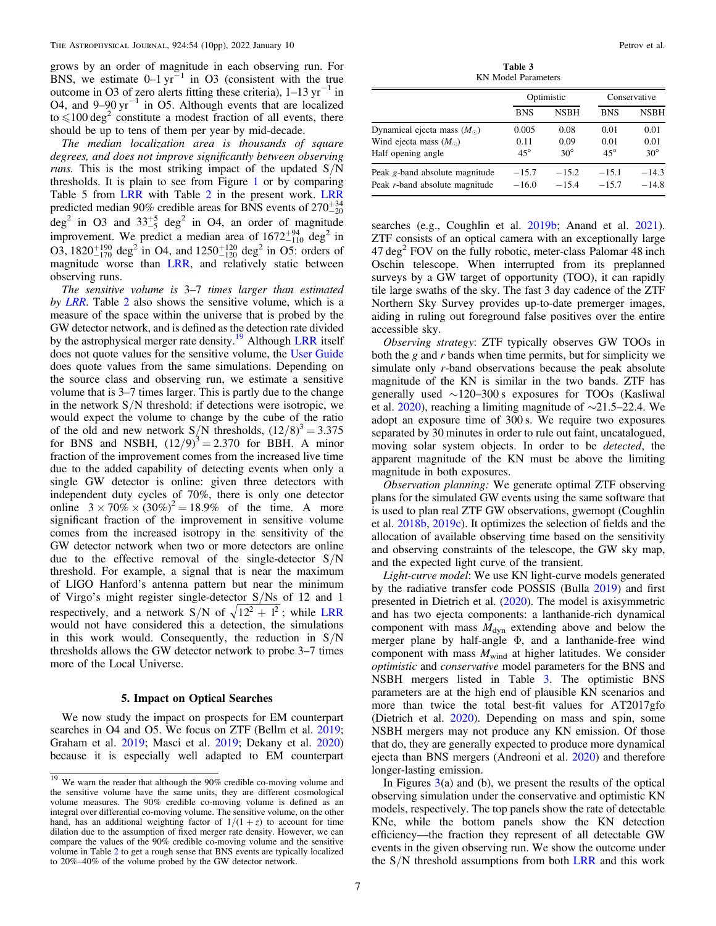<span id="page-6-0"></span>grows by an order of magnitude in each observing run. For BNS, we estimate  $0-1 \text{ yr}^{-1}$  in O3 (consistent with the true outcome in O3 of zero alerts fitting these criteria),  $1-13$  yr<sup> $-1$ </sup> in O4, and  $9-90 \text{ yr}^{-1}$  in O5. Although events that are localized to  $\leq 100 \text{ deg}^2$  constitute a modest fraction of all events, there should be up to tens of them per year by mid-decade.

The median localization area is thousands of square degrees, and does not improve significantly between observing *runs*. This is the most striking impact of the updated  $S/N$ thresholds. It is plain to see from Figure [1](#page-2-0) or by comparing Table 5 from [LRR](#page-8-0) with Table [2](#page-5-0) in the present work. [LRR](#page-8-0) predicted median 90% credible areas for BNS events of  $270_{-20}^{+34}$  $\text{deg}^2$  in O3 and  $33^{+5}_{-5}$  deg<sup>2</sup> in O4, an order of magnitude improvement. We predict a median area of  $1672_{-110}^{+94}$  deg<sup>2</sup> in O3,  $1820^{+190}_{-170}$  deg<sup>2</sup> in O4, and  $1250^{+120}_{-120}$  deg<sup>2</sup> in O5: orders of magnitude worse than [LRR,](#page-8-0) and relatively static between observing runs.

The sensitive volume is 3–7 times larger than estimated by [LRR](#page-8-0). Table [2](#page-5-0) also shows the sensitive volume, which is a measure of the space within the universe that is probed by the GW detector network, and is defined as the detection rate divided by the astrophysical merger rate density.<sup>19</sup> Although [LRR](#page-8-0) itself does not quote values for the sensitive volume, the [User Guide](#page-9-0) does quote values from the same simulations. Depending on the source class and observing run, we estimate a sensitive volume that is 3–7 times larger. This is partly due to the change in the network  $S/N$  threshold: if detections were isotropic, we would expect the volume to change by the cube of the ratio of the old and new network  $S/N$  thresholds,  $(12/8)^3 = 3.375$ for BNS and NSBH,  $(12/9)^3 = 2.370$  for BBH. A minor fraction of the improvement comes from the increased live time due to the added capability of detecting events when only a single GW detector is online: given three detectors with independent duty cycles of 70%, there is only one detector online  $3 \times 70\% \times (30\%)^2 = 18.9\%$  of the time. A more significant fraction of the improvement in sensitive volume comes from the increased isotropy in the sensitivity of the GW detector network when two or more detectors are online due to the effective removal of the single-detector  $S/N$ threshold. For example, a signal that is near the maximum of LIGO Hanford's antenna pattern but near the minimum of Virgo's might register single-detector S/Ns of 12 and 1 respectively, and a network S/N of  $\sqrt{12^2 + 1^2}$ ; while [LRR](#page-8-0) would not have considered this a detection, the simulations in this work would. Consequently, the reduction in  $S/N$ thresholds allows the GW detector network to probe 3–7 times more of the Local Universe.

#### 5. Impact on Optical Searches

We now study the impact on prospects for EM counterpart searches in O4 and O5. We focus on ZTF (Bellm et al. [2019](#page-8-0); Graham et al. [2019;](#page-9-0) Masci et al. [2019;](#page-9-0) Dekany et al. [2020](#page-9-0)) because it is especially well adapted to EM counterpart

Table 3 KN Model Parameters

|                                     |              | Optimistic  | Conservative |            |  |
|-------------------------------------|--------------|-------------|--------------|------------|--|
|                                     | <b>BNS</b>   | <b>NSBH</b> | <b>BNS</b>   | NSBH       |  |
| Dynamical ejecta mass $(M_{\odot})$ | 0.005        | 0.08        | 0.01         | 0.01       |  |
| Wind ejecta mass $(M_{\odot})$      | 0.11         | 0.09        | 0.01         | 0.01       |  |
| Half opening angle                  | $45^{\circ}$ | $30^\circ$  | $45^{\circ}$ | $30^\circ$ |  |
| Peak g-band absolute magnitude      | $-15.7$      | $-15.2$     | $-15.1$      | $-14.3$    |  |
| Peak r-band absolute magnitude      | $-16.0$      | $-15.4$     | $-15.7$      | $-14.8$    |  |

searches (e.g., Coughlin et al. [2019b](#page-8-0); Anand et al. [2021](#page-8-0)). ZTF consists of an optical camera with an exceptionally large  $47 \text{ deg}^2$  FOV on the fully robotic, meter-class Palomar 48 inch Oschin telescope. When interrupted from its preplanned surveys by a GW target of opportunity (TOO), it can rapidly tile large swaths of the sky. The fast 3 day cadence of the ZTF Northern Sky Survey provides up-to-date premerger images, aiding in ruling out foreground false positives over the entire accessible sky.

Observing strategy: ZTF typically observes GW TOOs in both the g and r bands when time permits, but for simplicity we simulate only r-band observations because the peak absolute magnitude of the KN is similar in the two bands. ZTF has generally used ∼120–300 s exposures for TOOs (Kasliwal et al. [2020](#page-9-0)), reaching a limiting magnitude of  $\sim$ 21.5–22.4. We adopt an exposure time of 300 s. We require two exposures separated by 30 minutes in order to rule out faint, uncatalogued, moving solar system objects. In order to be *detected*, the apparent magnitude of the KN must be above the limiting magnitude in both exposures.

Observation planning: We generate optimal ZTF observing plans for the simulated GW events using the same software that is used to plan real ZTF GW observations, gwemopt (Coughlin et al. [2018b,](#page-8-0) [2019c](#page-8-0)). It optimizes the selection of fields and the allocation of available observing time based on the sensitivity and observing constraints of the telescope, the GW sky map, and the expected light curve of the transient.

Light-curve model: We use KN light-curve models generated by the radiative transfer code POSSIS (Bulla [2019](#page-8-0)) and first presented in Dietrich et al. ([2020](#page-9-0)). The model is axisymmetric and has two ejecta components: a lanthanide-rich dynamical component with mass  $M_{\text{dyn}}$  extending above and below the merger plane by half-angle Φ, and a lanthanide-free wind component with mass  $M_{wind}$  at higher latitudes. We consider optimistic and conservative model parameters for the BNS and NSBH mergers listed in Table 3. The optimistic BNS parameters are at the high end of plausible KN scenarios and more than twice the total best-fit values for AT2017gfo (Dietrich et al. [2020](#page-9-0)). Depending on mass and spin, some NSBH mergers may not produce any KN emission. Of those that do, they are generally expected to produce more dynamical ejecta than BNS mergers (Andreoni et al. [2020](#page-8-0)) and therefore longer-lasting emission.

In Figures  $3(a)$  $3(a)$  and (b), we present the results of the optical observing simulation under the conservative and optimistic KN models, respectively. The top panels show the rate of detectable KNe, while the bottom panels show the KN detection efficiency—the fraction they represent of all detectable GW events in the given observing run. We show the outcome under the  $S/N$  threshold assumptions from both [LRR](#page-8-0) and this work

 $\frac{19}{19}$  We warn the reader that although the 90% credible co-moving volume and the sensitive volume have the same units, they are different cosmological volume measures. The 90% credible co-moving volume is defined as an integral over differential co-moving volume. The sensitive volume, on the other hand, has an additional weighting factor of  $1/(1 + z)$  to account for time dilation due to the assumption of fixed merger rate density. However, we can compare the values of the 90% credible co-moving volume and the sensitive volume in Table [2](#page-5-0) to get a rough sense that BNS events are typically localized to 20%–40% of the volume probed by the GW detector network.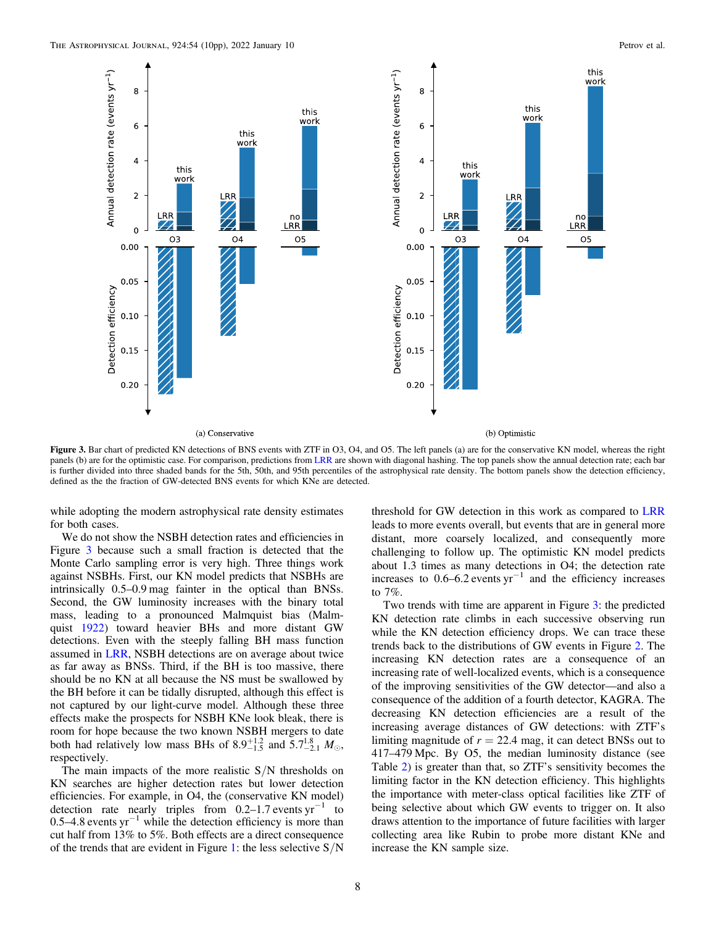<span id="page-7-0"></span>

Figure 3. Bar chart of predicted KN detections of BNS events with ZTF in O3, O4, and O5. The left panels (a) are for the conservative KN model, whereas the right panels (b) are for the optimistic case. For comparison, predictions from [LRR](#page-8-0) are shown with diagonal hashing. The top panels show the annual detection rate; each bar is further divided into three shaded bands for the 5th, 50th, and 95th percentiles of the astrophysical rate density. The bottom panels show the detection efficiency, defined as the the fraction of GW-detected BNS events for which KNe are detected.

while adopting the modern astrophysical rate density estimates for both cases.

We do not show the NSBH detection rates and efficiencies in Figure 3 because such a small fraction is detected that the Monte Carlo sampling error is very high. Three things work against NSBHs. First, our KN model predicts that NSBHs are intrinsically 0.5–0.9 mag fainter in the optical than BNSs. Second, the GW luminosity increases with the binary total mass, leading to a pronounced Malmquist bias (Malmquist [1922](#page-9-0)) toward heavier BHs and more distant GW detections. Even with the steeply falling BH mass function assumed in [LRR,](#page-8-0) NSBH detections are on average about twice as far away as BNSs. Third, if the BH is too massive, there should be no KN at all because the NS must be swallowed by the BH before it can be tidally disrupted, although this effect is not captured by our light-curve model. Although these three effects make the prospects for NSBH KNe look bleak, there is room for hope because the two known NSBH mergers to date both had relatively low mass BHs of  $8.9^{+1.2}_{-1.5}$  and  $5.7^{1.8}_{-2.1}$   $M_{\odot}$ , respectively.

The main impacts of the more realistic  $S/N$  thresholds on KN searches are higher detection rates but lower detection efficiencies. For example, in O4, the (conservative KN model) detection rate nearly triples from  $0.2-1.7$  events yr<sup>-1</sup> to 0.5–4.8 events  $yr^{-1}$  while the detection efficiency is more than cut half from 13% to 5%. Both effects are a direct consequence of the trends that are evident in Figure [1](#page-2-0): the less selective  $S/N$  threshold for GW detection in this work as compared to [LRR](#page-8-0) leads to more events overall, but events that are in general more distant, more coarsely localized, and consequently more challenging to follow up. The optimistic KN model predicts about 1.3 times as many detections in O4; the detection rate increases to  $0.6-6.2$  events yr<sup>-1</sup> and the efficiency increases to 7%.

Two trends with time are apparent in Figure 3: the predicted KN detection rate climbs in each successive observing run while the KN detection efficiency drops. We can trace these trends back to the distributions of GW events in Figure [2](#page-3-0). The increasing KN detection rates are a consequence of an increasing rate of well-localized events, which is a consequence of the improving sensitivities of the GW detector—and also a consequence of the addition of a fourth detector, KAGRA. The decreasing KN detection efficiencies are a result of the increasing average distances of GW detections: with ZTF's limiting magnitude of  $r = 22.4$  mag, it can detect BNSs out to 417–479 Mpc. By O5, the median luminosity distance (see Table [2](#page-5-0)) is greater than that, so ZTF's sensitivity becomes the limiting factor in the KN detection efficiency. This highlights the importance with meter-class optical facilities like ZTF of being selective about which GW events to trigger on. It also draws attention to the importance of future facilities with larger collecting area like Rubin to probe more distant KNe and increase the KN sample size.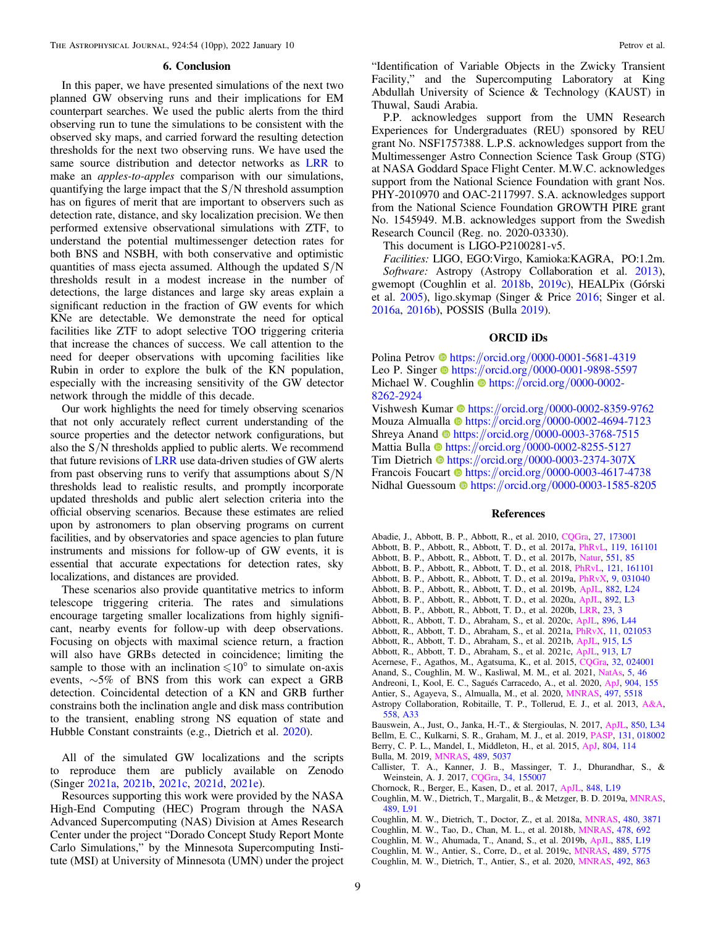<span id="page-8-0"></span>THE ASTROPHYSICAL JOURNAL, 924:54 (10pp), 2022 January 10 Petrov et al.

#### 6. Conclusion

In this paper, we have presented simulations of the next two planned GW observing runs and their implications for EM counterpart searches. We used the public alerts from the third observing run to tune the simulations to be consistent with the observed sky maps, and carried forward the resulting detection thresholds for the next two observing runs. We have used the same source distribution and detector networks as LRR to make an *apples-to-apples* comparison with our simulations, quantifying the large impact that the S/N threshold assumption has on figures of merit that are important to observers such as detection rate, distance, and sky localization precision. We then performed extensive observational simulations with ZTF, to understand the potential multimessenger detection rates for both BNS and NSBH, with both conservative and optimistic quantities of mass ejecta assumed. Although the updated  $S/N$ thresholds result in a modest increase in the number of detections, the large distances and large sky areas explain a significant reduction in the fraction of GW events for which KNe are detectable. We demonstrate the need for optical facilities like ZTF to adopt selective TOO triggering criteria that increase the chances of success. We call attention to the need for deeper observations with upcoming facilities like Rubin in order to explore the bulk of the KN population, especially with the increasing sensitivity of the GW detector network through the middle of this decade.

Our work highlights the need for timely observing scenarios that not only accurately reflect current understanding of the source properties and the detector network configurations, but also the S/N thresholds applied to public alerts. We recommend that future revisions of LRR use data-driven studies of GW alerts from past observing runs to verify that assumptions about  $S/N$ thresholds lead to realistic results, and promptly incorporate updated thresholds and public alert selection criteria into the official observing scenarios. Because these estimates are relied upon by astronomers to plan observing programs on current facilities, and by observatories and space agencies to plan future instruments and missions for follow-up of GW events, it is essential that accurate expectations for detection rates, sky localizations, and distances are provided.

These scenarios also provide quantitative metrics to inform telescope triggering criteria. The rates and simulations encourage targeting smaller localizations from highly significant, nearby events for follow-up with deep observations. Focusing on objects with maximal science return, a fraction will also have GRBs detected in coincidence; limiting the sample to those with an inclination  $\leq 10^{\circ}$  to simulate on-axis events, ∼5% of BNS from this work can expect a GRB detection. Coincidental detection of a KN and GRB further constrains both the inclination angle and disk mass contribution to the transient, enabling strong NS equation of state and Hubble Constant constraints (e.g., Dietrich et al. [2020](#page-9-0)).

All of the simulated GW localizations and the scripts to reproduce them are publicly available on Zenodo (Singer [2021a](#page-9-0), [2021b](#page-9-0), [2021c](#page-9-0), [2021d](#page-9-0), [2021e](#page-9-0)).

Resources supporting this work were provided by the NASA High-End Computing (HEC) Program through the NASA Advanced Supercomputing (NAS) Division at Ames Research Center under the project "Dorado Concept Study Report Monte Carlo Simulations," by the Minnesota Supercomputing Institute (MSI) at University of Minnesota (UMN) under the project

"Identification of Variable Objects in the Zwicky Transient Facility," and the Supercomputing Laboratory at King Abdullah University of Science & Technology (KAUST) in Thuwal, Saudi Arabia.

P.P. acknowledges support from the UMN Research Experiences for Undergraduates (REU) sponsored by REU grant No. NSF1757388. L.P.S. acknowledges support from the Multimessenger Astro Connection Science Task Group (STG) at NASA Goddard Space Flight Center. M.W.C. acknowledges support from the National Science Foundation with grant Nos. PHY-2010970 and OAC-2117997. S.A. acknowledges support from the National Science Foundation GROWTH PIRE grant No. 1545949. M.B. acknowledges support from the Swedish Research Council (Reg. no. 2020-03330).

This document is LIGO-P2100281-v5.

Facilities: LIGO, EGO:Virgo, Kamioka:KAGRA, PO:1.2m. Software: Astropy (Astropy Collaboration et al. 2013), gwemopt (Coughlin et al. 2018b, 2019c), HEALPix (Górski et al. [2005](#page-9-0)), ligo.skymap (Singer & Price [2016](#page-9-0); Singer et al. [2016a](#page-9-0), [2016b](#page-9-0)), POSSIS (Bulla 2019).

#### ORCID iDs

Polina Petro[v](https://orcid.org/0000-0001-5681-4319) **the [https:](https://orcid.org/0000-0001-5681-4319)**//orcid.org/[0000-0001-5681-4319](https://orcid.org/0000-0001-5681-4319) Leo P. Singer in [https:](https://orcid.org/0000-0001-9898-5597)//orcid.org/[0000-0001-9898-5597](https://orcid.org/0000-0001-9898-5597) Michael W. Coughlin the [https:](https://orcid.org/0000-0002-8262-2924)//orcid.org/[0000-0002-](https://orcid.org/0000-0002-8262-2924) [8262-2924](https://orcid.org/0000-0002-8262-2924)

Vishwesh Kumar **[https:](https://orcid.org/0000-0002-8359-9762)//orcid.org/[0000-0002-8359-9762](https://orcid.org/0000-0002-8359-9762)** Mouz[a](https://orcid.org/0000-0002-4694-7123) Almualla [https:](https://orcid.org/0000-0002-4694-7123)//orcid.org/[0000-0002-4694-7123](https://orcid.org/0000-0002-4694-7123) Shreya Anan[d](https://orcid.org/0000-0003-3768-7515)  $\bullet$  [https:](https://orcid.org/0000-0003-3768-7515)//orcid.org/[0000-0003-3768-7515](https://orcid.org/0000-0003-3768-7515) M[a](https://orcid.org/0000-0002-8255-5127)ttia Bulla **[https:](https://orcid.org/0000-0002-8255-5127)//orcid.org/[0000-0002-8255-5127](https://orcid.org/0000-0002-8255-5127)** Tim Dietrich  $\Phi$  [https:](https://orcid.org/0000-0003-2374-307X)//orcid.org/[0000-0003-2374-307X](https://orcid.org/0000-0003-2374-307X) Francois Foucar[t](https://orcid.org/0000-0003-4617-4738)  $\bullet$  [https:](https://orcid.org/0000-0003-4617-4738)//orcid.org/[0000-0003-4617-4738](https://orcid.org/0000-0003-4617-4738) Nidhal Guessoum **[https:](https://orcid.org/0000-0003-1585-8205)//orcid.org/[0000-0003-1585-8205](https://orcid.org/0000-0003-1585-8205)** 

#### References

- Abadie, J., Abbott, B. P., Abbott, R., et al. 2010, [CQGra](https://doi.org/10.1088/0264-9381/27/17/173001), [27, 173001](https://ui.adsabs.harvard.edu/abs/2010CQGra..27q3001A/abstract) Abbott, B. P., Abbott, R., Abbott, T. D., et al. 2017a, [PhRvL,](https://doi.org/10.1103/PhysRevLett.119.161101) [119, 161101](https://ui.adsabs.harvard.edu/abs/2017PhRvL.119p1101A/abstract) Abbott, B. P., Abbott, R., Abbott, T. D., et al. 2017b, [Natur,](https://doi.org/10.1038/551425a) [551, 85](https://ui.adsabs.harvard.edu/abs/2017Natur.551...85A/abstract) Abbott, B. P., Abbott, R., Abbott, T. D., et al. 2018, [PhRvL](https://doi.org/10.1103/PhysRevLett.121.161101), [121, 161101](https://ui.adsabs.harvard.edu/abs/2018PhRvL.121p1101A/abstract) Abbott, B. P., Abbott, R., Abbott, T. D., et al. 2019a, [PhRvX,](https://doi.org/10.1103/PhysRevX.9.031040) [9, 031040](https://ui.adsabs.harvard.edu/abs/2019PhRvX...9c1040A/abstract) Abbott, B. P., Abbott, R., Abbott, T. D., et al. 2019b, [ApJL](https://doi.org/10.3847/2041-8213/ab3800), [882, L24](https://ui.adsabs.harvard.edu/abs/2019ApJ...882L..24A/abstract) Abbott, B. P., Abbott, R., Abbott, T. D., et al. 2020a, [ApJL,](https://doi.org/10.3847/2041-8213/ab75f5) [892, L3](https://ui.adsabs.harvard.edu/abs/2020ApJ...892L...3A/abstract)
- Abbott, B. P., Abbott, R., Abbott, T. D., et al. 2020b, [LRR](https://doi.org/10.1007/s41114-020-00026-9), [23, 3](https://ui.adsabs.harvard.edu/abs/2020LRR....23....3A/abstract)
- Abbott, R., Abbott, T. D., Abraham, S., et al. 2020c, [ApJL](https://doi.org/10.3847/2041-8213/ab960f), [896, L44](https://ui.adsabs.harvard.edu/abs/2020ApJ...896L..44A/abstract)
- Abbott, R., Abbott, T. D., Abraham, S., et al. 2021a, [PhRvX](https://doi.org/10.1103/PhysRevX.11.021053), [11, 021053](https://ui.adsabs.harvard.edu/abs/2021PhRvX..11b1053A/abstract)
- Abbott, R., Abbott, T. D., Abraham, S., et al. 2021b, [ApJL,](https://doi.org/10.3847/2041-8213/ac082e) [915, L5](https://ui.adsabs.harvard.edu/abs/2021ApJ...915L...5A/abstract)
- Abbott, R., Abbott, T. D., Abraham, S., et al. 2021c, [ApJL](https://doi.org/10.3847/2041-8213/abe949), [913, L7](https://ui.adsabs.harvard.edu/abs/2021ApJ...913L...7A/abstract)
- Acernese, F., Agathos, M., Agatsuma, K., et al. 2015, [CQGra,](https://doi.org/10.1088/0264-9381/32/2/024001) [32, 024001](https://ui.adsabs.harvard.edu/abs/2015CQGra..32b4001A/abstract)
- Anand, S., Coughlin, M. W., Kasliwal, M. M., et al. 2021, [NatAs](https://doi.org/10.1038/s41550-020-1183-3), [5, 46](https://ui.adsabs.harvard.edu/abs/2021NatAs...5...46A/abstract)
- Andreoni, I., Kool, E. C., Sagués Carracedo, A., et al. 2020, [ApJ](https://doi.org/10.3847/1538-4357/abbf4c), [904, 155](https://ui.adsabs.harvard.edu/abs/2020ApJ...904..155A/abstract)
- Antier, S., Agayeva, S., Almualla, M., et al. 2020, [MNRAS,](https://doi.org/10.1093/mnras/staa1846) [497, 5518](https://ui.adsabs.harvard.edu/abs/2020MNRAS.497.5518A/abstract) Astropy Collaboration, Robitaille, T. P., Tollerud, E. J., et al. 2013, [A&A](https://doi.org/10.1051/0004-6361/201322068)[,](https://ui.adsabs.harvard.edu/abs/2013A&A...558A..33A/abstract)
- [558, A33](https://ui.adsabs.harvard.edu/abs/2013A&A...558A..33A/abstract) Bauswein, A., Just, O., Janka, H.-T., & Stergioulas, N. 2017, [ApJL](https://doi.org/10.3847/2041-8213/aa9994), [850, L34](https://ui.adsabs.harvard.edu/abs/2017ApJ...850L..34B/abstract)
- Bellm, E. C., Kulkarni, S. R., Graham, M. J., et al. 2019, [PASP](https://doi.org/10.1088/1538-3873/aaecbe), [131, 018002](https://ui.adsabs.harvard.edu/abs/2019PASP..131a8002B/abstract)
- Berry, C. P. L., Mandel, I., Middleton, H., et al. 2015, [ApJ,](https://doi.org/10.1088/0004-637X/804/2/114) [804, 114](https://ui.adsabs.harvard.edu/abs/2015ApJ...804..114B/abstract)
- Bulla, M. 2019, [MNRAS](https://doi.org/10.1093/mnras/stz2495), [489, 5037](https://ui.adsabs.harvard.edu/abs/2019MNRAS.489.5037B/abstract)
- Callister, T. A., Kanner, J. B., Massinger, T. J., Dhurandhar, S., & Weinstein, A. J. 2017, [CQGra,](https://doi.org/10.1088/1361-6382/aa7a76) [34, 155007](https://ui.adsabs.harvard.edu/abs/2017CQGra..34o5007C/abstract)
- Chornock, R., Berger, E., Kasen, D., et al. 2017, [ApJL,](https://doi.org/10.3847/2041-8213/aa905c) [848, L19](https://ui.adsabs.harvard.edu/abs/2017ApJ...848L..19C/abstract)
- Coughlin, M. W., Dietrich, T., Margalit, B., & Metzger, B. D. 2019a, [MNRAS](https://doi.org/10.1093/mnrasl/slz133)[,](https://ui.adsabs.harvard.edu/abs/2019MNRAS.489L..91C/abstract) [489, L91](https://ui.adsabs.harvard.edu/abs/2019MNRAS.489L..91C/abstract)
- Coughlin, M. W., Dietrich, T., Doctor, Z., et al. 2018a, [MNRAS,](https://doi.org/10.1093/mnras/sty2174) [480, 3871](https://ui.adsabs.harvard.edu/abs/2018MNRAS.480.3871C/abstract)
- Coughlin, M. W., Tao, D., Chan, M. L., et al. 2018b, [MNRAS](https://doi.org/10.1093/mnras/sty1066), [478, 692](https://ui.adsabs.harvard.edu/abs/2018MNRAS.478..692C/abstract)
- Coughlin, M. W., Ahumada, T., Anand, S., et al. 2019b, [ApJL](https://doi.org/10.3847/2041-8213/ab4ad8), [885, L19](https://ui.adsabs.harvard.edu/abs/2019ApJ...885L..19C/abstract)
- Coughlin, M. W., Antier, S., Corre, D., et al. 2019c, [MNRAS,](https://doi.org/10.1093/mnras/stz2485) [489, 5775](https://ui.adsabs.harvard.edu/abs/2019MNRAS.489.5775C/abstract) Coughlin, M. W., Dietrich, T., Antier, S., et al. 2020, [MNRAS,](https://doi.org/10.1093/mnras/stz3457) [492, 863](https://ui.adsabs.harvard.edu/abs/2020MNRAS.492..863C/abstract)

9